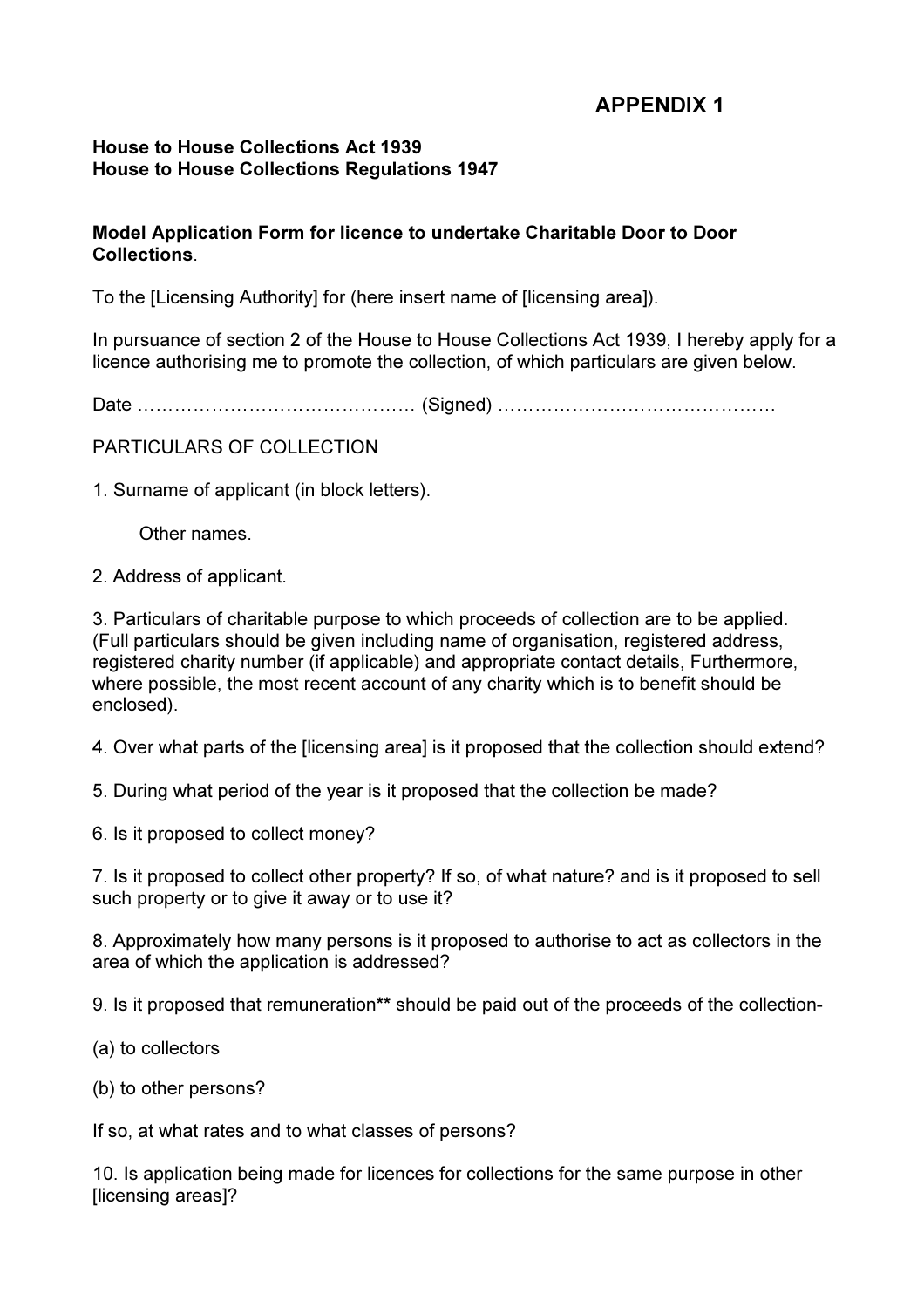## APPENDIX 1

### House to House Collections Act 1939 House to House Collections Regulations 1947

### Model Application Form for licence to undertake Charitable Door to Door **Collections**

To the [Licensing Authority] for (here insert name of [licensing area]).

In pursuance of section 2 of the House to House Collections Act 1939, I hereby apply for a licence authorising me to promote the collection, of which particulars are given below.

Date ……………………………………… (Signed) ………………………………………

PARTICULARS OF COLLECTION

1. Surname of applicant (in block letters).

Other names.

2. Address of applicant.

3. Particulars of charitable purpose to which proceeds of collection are to be applied. (Full particulars should be given including name of organisation, registered address, registered charity number (if applicable) and appropriate contact details, Furthermore, where possible, the most recent account of any charity which is to benefit should be enclosed).

4. Over what parts of the [licensing area] is it proposed that the collection should extend?

5. During what period of the year is it proposed that the collection be made?

6. Is it proposed to collect money?

7. Is it proposed to collect other property? If so, of what nature? and is it proposed to sell such property or to give it away or to use it?

8. Approximately how many persons is it proposed to authorise to act as collectors in the area of which the application is addressed?

9. Is it proposed that remuneration\*\* should be paid out of the proceeds of the collection-

(a) to collectors

(b) to other persons?

If so, at what rates and to what classes of persons?

10. Is application being made for licences for collections for the same purpose in other [licensing areas]?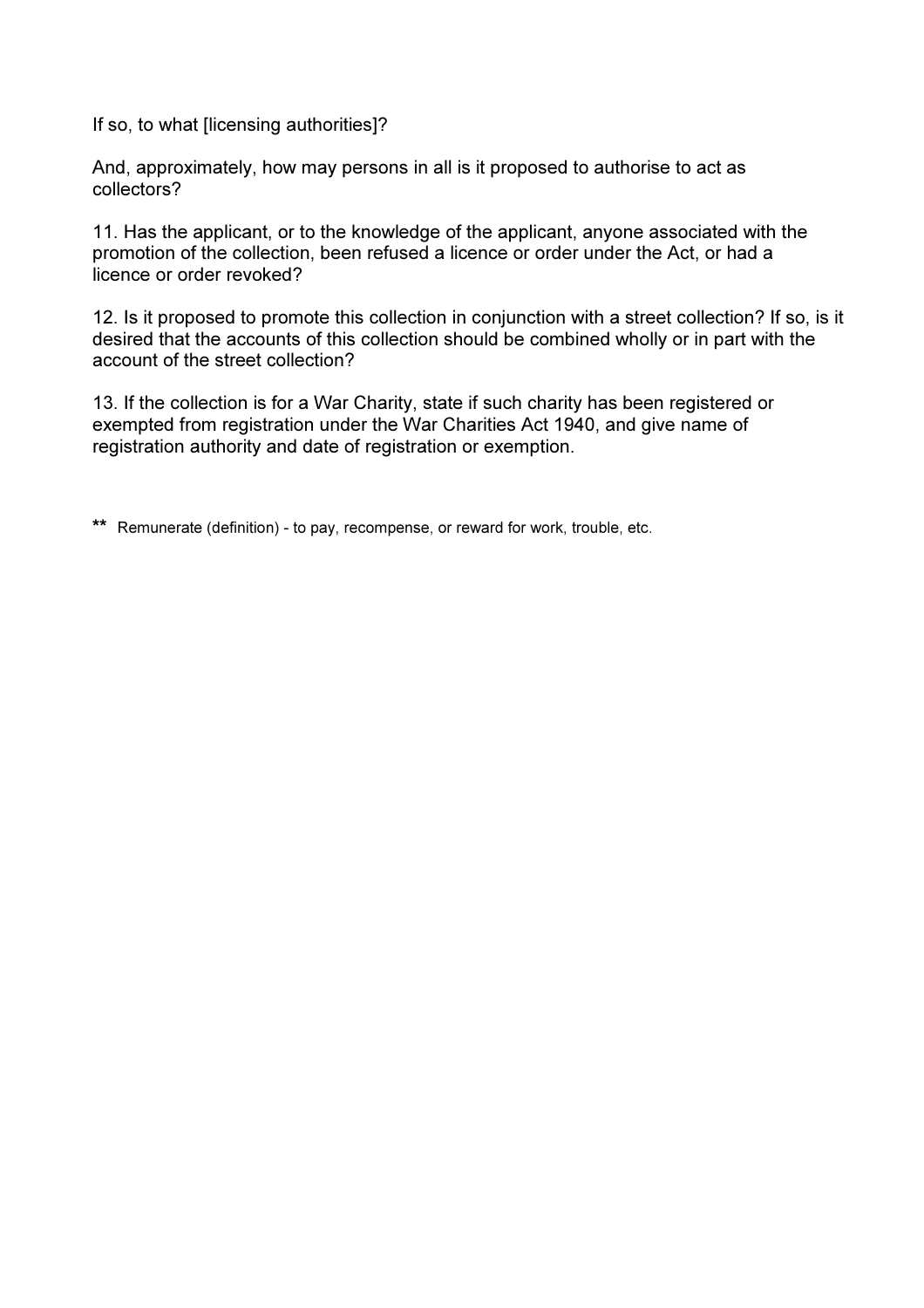If so, to what [licensing authorities]?

And, approximately, how may persons in all is it proposed to authorise to act as collectors?

11. Has the applicant, or to the knowledge of the applicant, anyone associated with the promotion of the collection, been refused a licence or order under the Act, or had a licence or order revoked?

12. Is it proposed to promote this collection in conjunction with a street collection? If so, is it desired that the accounts of this collection should be combined wholly or in part with the account of the street collection?

13. If the collection is for a War Charity, state if such charity has been registered or exempted from registration under the War Charities Act 1940, and give name of registration authority and date of registration or exemption.

\*\* Remunerate (definition) - to pay, recompense, or reward for work, trouble, etc.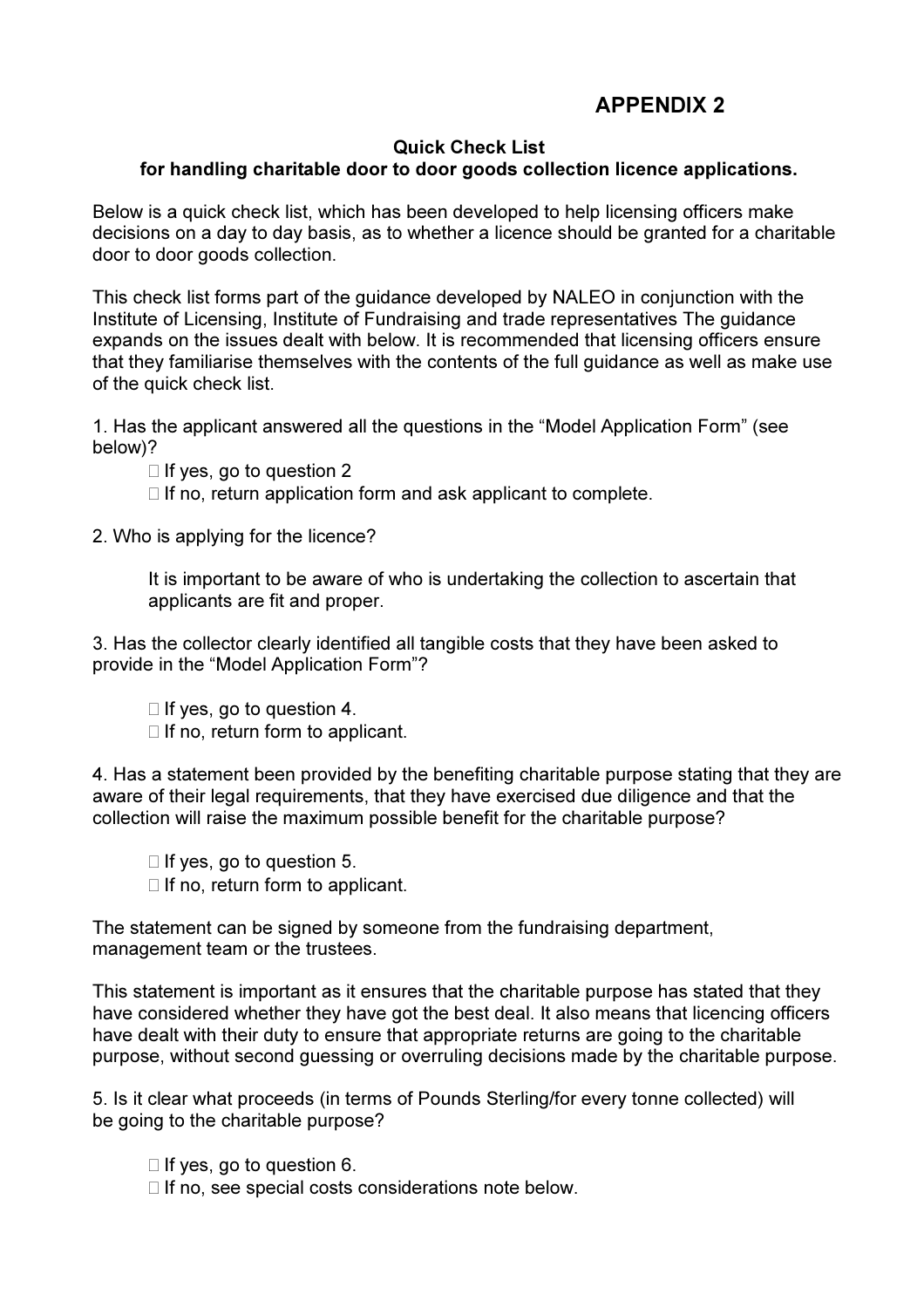# APPENDIX 2

### Quick Check List

### for handling charitable door to door goods collection licence applications.

Below is a quick check list, which has been developed to help licensing officers make decisions on a day to day basis, as to whether a licence should be granted for a charitable door to door goods collection.

This check list forms part of the guidance developed by NALEO in conjunction with the Institute of Licensing, Institute of Fundraising and trade representatives The guidance expands on the issues dealt with below. It is recommended that licensing officers ensure that they familiarise themselves with the contents of the full guidance as well as make use of the quick check list.

1. Has the applicant answered all the questions in the "Model Application Form" (see below)?

 $\Box$  If yes, go to question 2

 $\Box$  If no, return application form and ask applicant to complete.

2. Who is applying for the licence?

It is important to be aware of who is undertaking the collection to ascertain that applicants are fit and proper.

3. Has the collector clearly identified all tangible costs that they have been asked to provide in the "Model Application Form"?

 $\Box$  If yes, go to question 4.

 $\Box$  If no, return form to applicant.

4. Has a statement been provided by the benefiting charitable purpose stating that they are aware of their legal requirements, that they have exercised due diligence and that the collection will raise the maximum possible benefit for the charitable purpose?

 $\Box$  If yes, go to question 5.  $\Box$  If no, return form to applicant.

The statement can be signed by someone from the fundraising department, management team or the trustees.

This statement is important as it ensures that the charitable purpose has stated that they have considered whether they have got the best deal. It also means that licencing officers have dealt with their duty to ensure that appropriate returns are going to the charitable purpose, without second guessing or overruling decisions made by the charitable purpose.

5. Is it clear what proceeds (in terms of Pounds Sterling/for every tonne collected) will be going to the charitable purpose?

 $\Box$  If yes, go to question 6.

 $\Box$  If no, see special costs considerations note below.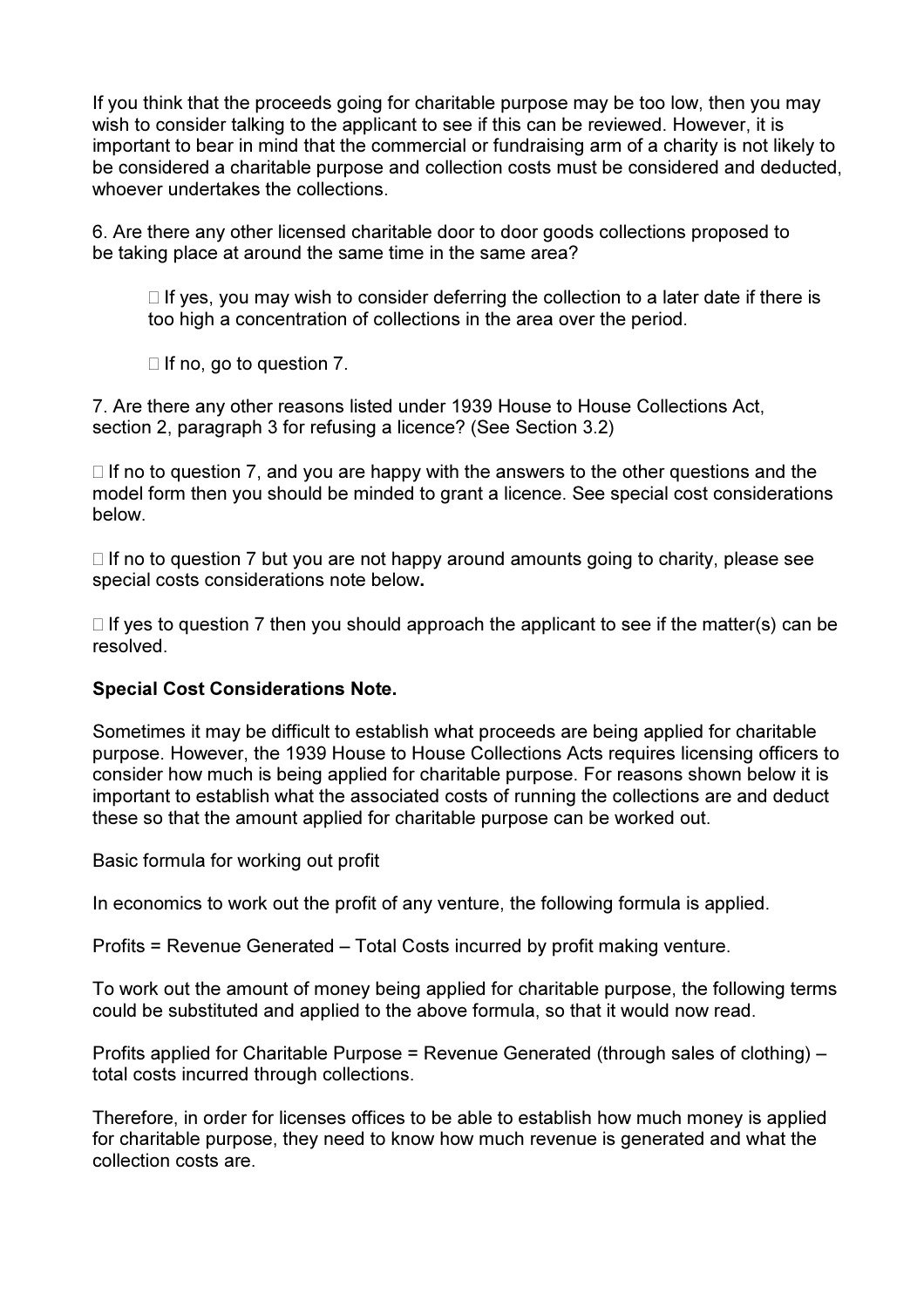If you think that the proceeds going for charitable purpose may be too low, then you may wish to consider talking to the applicant to see if this can be reviewed. However, it is important to bear in mind that the commercial or fundraising arm of a charity is not likely to be considered a charitable purpose and collection costs must be considered and deducted, whoever undertakes the collections.

6. Are there any other licensed charitable door to door goods collections proposed to be taking place at around the same time in the same area?

 $\Box$  If yes, you may wish to consider deferring the collection to a later date if there is too high a concentration of collections in the area over the period.

 $\Box$  If no, go to question 7.

7. Are there any other reasons listed under 1939 House to House Collections Act, section 2, paragraph 3 for refusing a licence? (See Section 3.2)

 $\Box$  If no to question 7, and you are happy with the answers to the other questions and the model form then you should be minded to grant a licence. See special cost considerations below.

 $\Box$  If no to question 7 but you are not happy around amounts going to charity, please see special costs considerations note below.

 $\Box$  If yes to question 7 then you should approach the applicant to see if the matter(s) can be resolved.

#### Special Cost Considerations Note.

Sometimes it may be difficult to establish what proceeds are being applied for charitable purpose. However, the 1939 House to House Collections Acts requires licensing officers to consider how much is being applied for charitable purpose. For reasons shown below it is important to establish what the associated costs of running the collections are and deduct these so that the amount applied for charitable purpose can be worked out.

Basic formula for working out profit

In economics to work out the profit of any venture, the following formula is applied.

Profits = Revenue Generated – Total Costs incurred by profit making venture.

To work out the amount of money being applied for charitable purpose, the following terms could be substituted and applied to the above formula, so that it would now read.

Profits applied for Charitable Purpose = Revenue Generated (through sales of clothing) – total costs incurred through collections.

Therefore, in order for licenses offices to be able to establish how much money is applied for charitable purpose, they need to know how much revenue is generated and what the collection costs are.